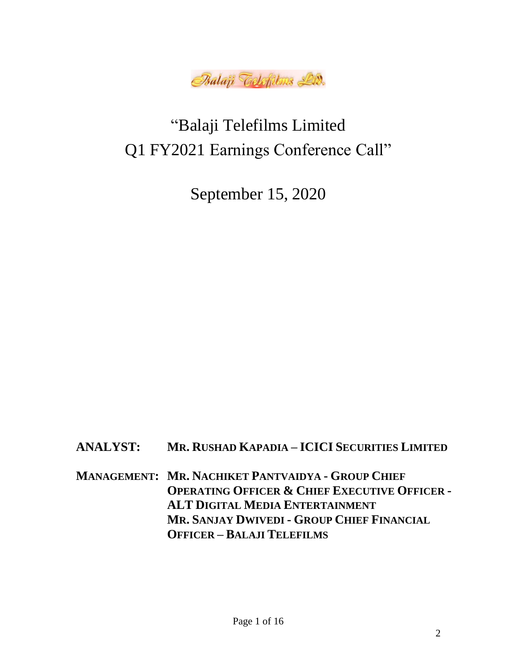

## "Balaji Telefilms Limited Q1 FY2021 Earnings Conference Call"

September 15, 2020

**ANALYST: MR. RUSHAD KAPADIA – ICICI SECURITIES LIMITED**

**MANAGEMENT: MR. NACHIKET PANTVAIDYA - GROUP CHIEF OPERATING OFFICER & CHIEF EXECUTIVE OFFICER - ALT DIGITAL MEDIA ENTERTAINMENT MR. SANJAY DWIVEDI - GROUP CHIEF FINANCIAL OFFICER – BALAJI TELEFILMS**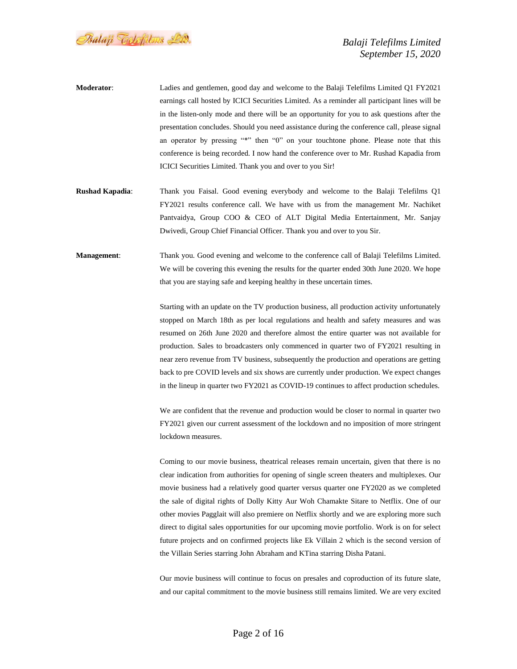Balaji Telefilms Lid.

- **Moderator**: Ladies and gentlemen, good day and welcome to the Balaji Telefilms Limited Q1 FY2021 earnings call hosted by ICICI Securities Limited. As a reminder all participant lines will be in the listen-only mode and there will be an opportunity for you to ask questions after the presentation concludes. Should you need assistance during the conference call, please signal an operator by pressing "\*" then "0" on your touchtone phone. Please note that this conference is being recorded. I now hand the conference over to Mr. Rushad Kapadia from ICICI Securities Limited. Thank you and over to you Sir!
- **Rushad Kapadia**: Thank you Faisal. Good evening everybody and welcome to the Balaji Telefilms Q1 FY2021 results conference call. We have with us from the management Mr. Nachiket Pantvaidya, Group COO & CEO of ALT Digital Media Entertainment, Mr. Sanjay Dwivedi, Group Chief Financial Officer. Thank you and over to you Sir.
- **Management**: Thank you. Good evening and welcome to the conference call of Balaji Telefilms Limited. We will be covering this evening the results for the quarter ended 30th June 2020. We hope that you are staying safe and keeping healthy in these uncertain times.

Starting with an update on the TV production business, all production activity unfortunately stopped on March 18th as per local regulations and health and safety measures and was resumed on 26th June 2020 and therefore almost the entire quarter was not available for production. Sales to broadcasters only commenced in quarter two of FY2021 resulting in near zero revenue from TV business, subsequently the production and operations are getting back to pre COVID levels and six shows are currently under production. We expect changes in the lineup in quarter two FY2021 as COVID-19 continues to affect production schedules.

We are confident that the revenue and production would be closer to normal in quarter two FY2021 given our current assessment of the lockdown and no imposition of more stringent lockdown measures.

Coming to our movie business, theatrical releases remain uncertain, given that there is no clear indication from authorities for opening of single screen theaters and multiplexes. Our movie business had a relatively good quarter versus quarter one FY2020 as we completed the sale of digital rights of Dolly Kitty Aur Woh Chamakte Sitare to Netflix. One of our other movies Pagglait will also premiere on Netflix shortly and we are exploring more such direct to digital sales opportunities for our upcoming movie portfolio. Work is on for select future projects and on confirmed projects like Ek Villain 2 which is the second version of the Villain Series starring John Abraham and KTina starring Disha Patani.

Our movie business will continue to focus on presales and coproduction of its future slate, and our capital commitment to the movie business still remains limited. We are very excited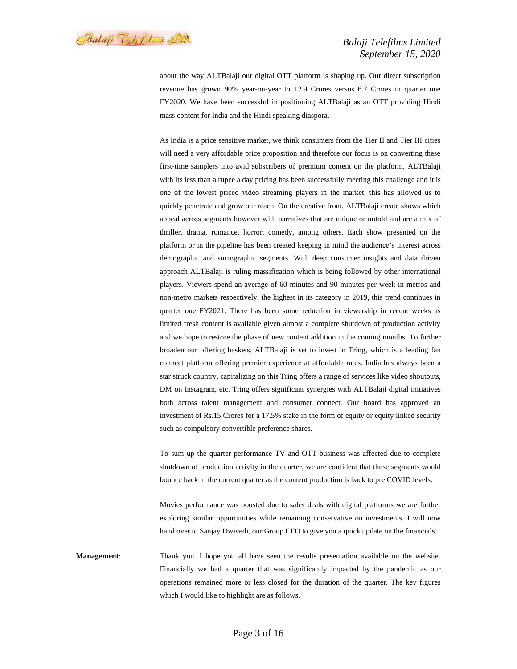Psalaji Toclofilms Lid.

## *Balaji Telefilms Limited September 15, 2020*

about the way ALTBalaji our digital OTT platform is shaping up. Our direct subscription revenue has grown 90% year-on-year to 12.9 Crores versus 6.7 Crores in quarter one FY2020. We have been successful in positioning ALTBalaji as an OTT providing Hindi mass content for India and the Hindi speaking diaspora.

As India is a price sensitive market, we think consumers from the Tier II and Tier III cities will need a very affordable price proposition and therefore our focus is on converting these first-time samplers into avid subscribers of premium content on the platform. ALTBalaji with its less than a rupee a day pricing has been successfully meeting this challenge and it is one of the lowest priced video streaming players in the market, this has allowed us to quickly penetrate and grow our reach. On the creative front, ALTBalaji create shows which appeal across segments however with narratives that are unique or untold and are a mix of thriller, drama, romance, horror, comedy, among others. Each show presented on the platform or in the pipeline has been created keeping in mind the audience's interest across demographic and sociographic segments. With deep consumer insights and data driven approach ALTBalaji is ruling massification which is being followed by other international players. Viewers spend an average of 60 minutes and 90 minutes per week in metros and non-metro markets respectively, the highest in its category in 2019, this trend continues in quarter one FY2021. There has been some reduction in viewership in recent weeks as limited fresh content is available given almost a complete shutdown of production activity and we hope to restore the phase of new content addition in the coming months. To further broaden our offering baskets, ALTBalaji is set to invest in Tring, which is a leading fan connect platform offering premier experience at affordable rates. India has always been a star struck country, capitalizing on this Tring offers a range of services like video shoutouts, DM on Instagram, etc. Tring offers significant synergies with ALTBalaji digital initiatives both across talent management and consumer connect. Our board has approved an investment of Rs.15 Crores for a 17.5% stake in the form of equity or equity linked security such as compulsory convertible preference shares.

To sum up the quarter performance TV and OTT business was affected due to complete shutdown of production activity in the quarter, we are confident that these segments would bounce back in the current quarter as the content production is back to pre COVID levels.

Movies performance was boosted due to sales deals with digital platforms we are further exploring similar opportunities while remaining conservative on investments. I will now hand over to Sanjay Dwivedi, our Group CFO to give you a quick update on the financials.

**Management**: Thank you. I hope you all have seen the results presentation available on the website. Financially we had a quarter that was significantly impacted by the pandemic as our operations remained more or less closed for the duration of the quarter. The key figures which I would like to highlight are as follows.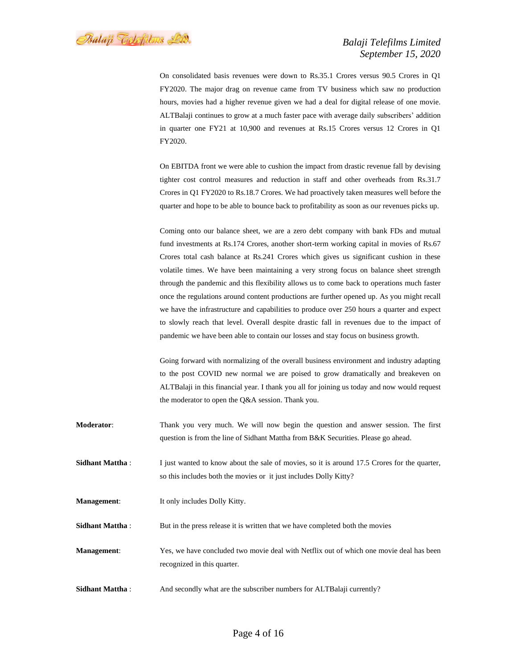Balaji Telefilms Lid.

On consolidated basis revenues were down to Rs.35.1 Crores versus 90.5 Crores in Q1 FY2020. The major drag on revenue came from TV business which saw no production hours, movies had a higher revenue given we had a deal for digital release of one movie. ALTBalaji continues to grow at a much faster pace with average daily subscribers' addition in quarter one FY21 at 10,900 and revenues at Rs.15 Crores versus 12 Crores in Q1 FY2020.

On EBITDA front we were able to cushion the impact from drastic revenue fall by devising tighter cost control measures and reduction in staff and other overheads from Rs.31.7 Crores in Q1 FY2020 to Rs.18.7 Crores. We had proactively taken measures well before the quarter and hope to be able to bounce back to profitability as soon as our revenues picks up.

Coming onto our balance sheet, we are a zero debt company with bank FDs and mutual fund investments at Rs.174 Crores, another short-term working capital in movies of Rs.67 Crores total cash balance at Rs.241 Crores which gives us significant cushion in these volatile times. We have been maintaining a very strong focus on balance sheet strength through the pandemic and this flexibility allows us to come back to operations much faster once the regulations around content productions are further opened up. As you might recall we have the infrastructure and capabilities to produce over 250 hours a quarter and expect to slowly reach that level. Overall despite drastic fall in revenues due to the impact of pandemic we have been able to contain our losses and stay focus on business growth.

Going forward with normalizing of the overall business environment and industry adapting to the post COVID new normal we are poised to grow dramatically and breakeven on ALTBalaji in this financial year. I thank you all for joining us today and now would request the moderator to open the Q&A session. Thank you.

- **Moderator**: Thank you very much. We will now begin the question and answer session. The first question is from the line of Sidhant Mattha from B&K Securities. Please go ahead.
- **Sidhant Mattha** : I just wanted to know about the sale of movies, so it is around 17.5 Crores for the quarter, so this includes both the movies or it just includes Dolly Kitty?
- **Management**: It only includes Dolly Kitty.
- **Sidhant Mattha** : But in the press release it is written that we have completed both the movies
- **Management**: Yes, we have concluded two movie deal with Netflix out of which one movie deal has been recognized in this quarter.
- **Sidhant Mattha** : And secondly what are the subscriber numbers for ALTBalaji currently?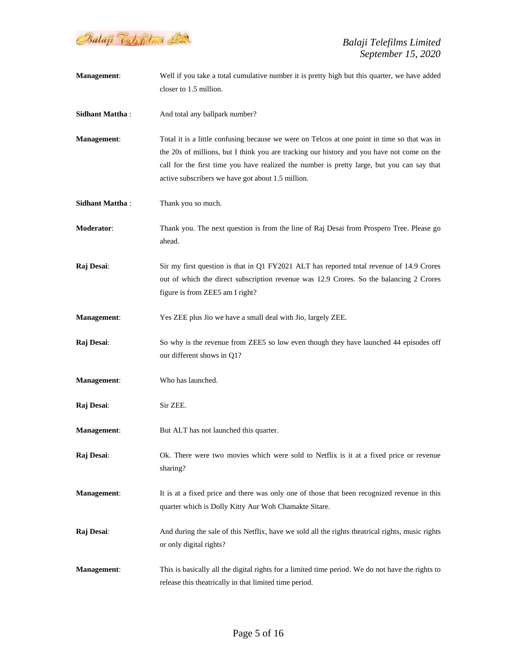

| Management:            | Well if you take a total cumulative number it is pretty high but this quarter, we have added<br>closer to 1.5 million.                                                                                                                                                                                                                        |
|------------------------|-----------------------------------------------------------------------------------------------------------------------------------------------------------------------------------------------------------------------------------------------------------------------------------------------------------------------------------------------|
| <b>Sidhant Mattha:</b> | And total any ballpark number?                                                                                                                                                                                                                                                                                                                |
| Management:            | Total it is a little confusing because we were on Telcos at one point in time so that was in<br>the 20s of millions, but I think you are tracking our history and you have not come on the<br>call for the first time you have realized the number is pretty large, but you can say that<br>active subscribers we have got about 1.5 million. |
| <b>Sidhant Mattha:</b> | Thank you so much.                                                                                                                                                                                                                                                                                                                            |
| Moderator:             | Thank you. The next question is from the line of Raj Desai from Prospero Tree. Please go<br>ahead.                                                                                                                                                                                                                                            |
| Raj Desai:             | Sir my first question is that in Q1 FY2021 ALT has reported total revenue of 14.9 Crores<br>out of which the direct subscription revenue was 12.9 Crores. So the balancing 2 Crores<br>figure is from ZEE5 am I right?                                                                                                                        |
| <b>Management:</b>     | Yes ZEE plus Jio we have a small deal with Jio, largely ZEE.                                                                                                                                                                                                                                                                                  |
| Raj Desai:             | So why is the revenue from ZEE5 so low even though they have launched 44 episodes off<br>our different shows in Q1?                                                                                                                                                                                                                           |
| <b>Management:</b>     | Who has launched.                                                                                                                                                                                                                                                                                                                             |
| Raj Desai:             | Sir ZEE.                                                                                                                                                                                                                                                                                                                                      |
| <b>Management:</b>     | But ALT has not launched this quarter.                                                                                                                                                                                                                                                                                                        |
| Raj Desai:             | Ok. There were two movies which were sold to Netflix is it at a fixed price or revenue<br>sharing?                                                                                                                                                                                                                                            |
| <b>Management:</b>     | It is at a fixed price and there was only one of those that been recognized revenue in this<br>quarter which is Dolly Kitty Aur Woh Chamakte Sitare.                                                                                                                                                                                          |
| Raj Desai:             | And during the sale of this Netflix, have we sold all the rights theatrical rights, music rights<br>or only digital rights?                                                                                                                                                                                                                   |
| Management:            | This is basically all the digital rights for a limited time period. We do not have the rights to<br>release this theatrically in that limited time period.                                                                                                                                                                                    |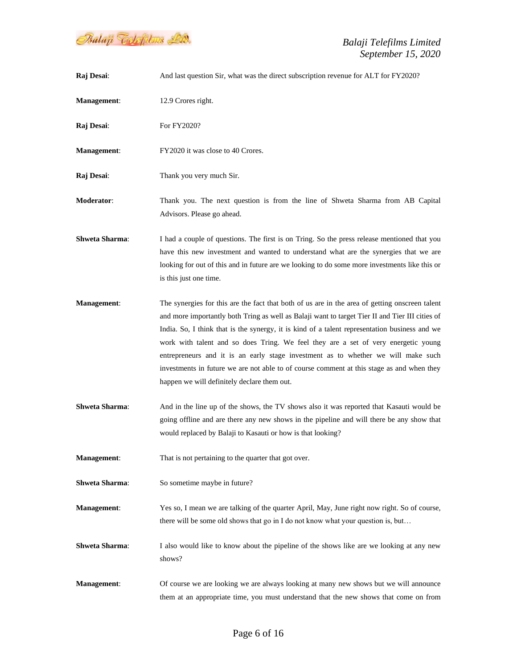

| Raj Desai:            | And last question Sir, what was the direct subscription revenue for ALT for FY2020?                                                                                                                                                                                                                                                                                                                                                                                                                                                                                                                                       |
|-----------------------|---------------------------------------------------------------------------------------------------------------------------------------------------------------------------------------------------------------------------------------------------------------------------------------------------------------------------------------------------------------------------------------------------------------------------------------------------------------------------------------------------------------------------------------------------------------------------------------------------------------------------|
| Management:           | 12.9 Crores right.                                                                                                                                                                                                                                                                                                                                                                                                                                                                                                                                                                                                        |
| Raj Desai:            | For FY2020?                                                                                                                                                                                                                                                                                                                                                                                                                                                                                                                                                                                                               |
| <b>Management:</b>    | FY2020 it was close to 40 Crores.                                                                                                                                                                                                                                                                                                                                                                                                                                                                                                                                                                                         |
| Raj Desai:            | Thank you very much Sir.                                                                                                                                                                                                                                                                                                                                                                                                                                                                                                                                                                                                  |
| <b>Moderator:</b>     | Thank you. The next question is from the line of Shweta Sharma from AB Capital<br>Advisors. Please go ahead.                                                                                                                                                                                                                                                                                                                                                                                                                                                                                                              |
| <b>Shweta Sharma:</b> | I had a couple of questions. The first is on Tring. So the press release mentioned that you<br>have this new investment and wanted to understand what are the synergies that we are<br>looking for out of this and in future are we looking to do some more investments like this or<br>is this just one time.                                                                                                                                                                                                                                                                                                            |
| Management:           | The synergies for this are the fact that both of us are in the area of getting onscreen talent<br>and more importantly both Tring as well as Balaji want to target Tier II and Tier III cities of<br>India. So, I think that is the synergy, it is kind of a talent representation business and we<br>work with talent and so does Tring. We feel they are a set of very energetic young<br>entrepreneurs and it is an early stage investment as to whether we will make such<br>investments in future we are not able to of course comment at this stage as and when they<br>happen we will definitely declare them out. |
| <b>Shweta Sharma:</b> | And in the line up of the shows, the TV shows also it was reported that Kasauti would be<br>going offline and are there any new shows in the pipeline and will there be any show that<br>would replaced by Balaji to Kasauti or how is that looking?                                                                                                                                                                                                                                                                                                                                                                      |
| Management:           | That is not pertaining to the quarter that got over.                                                                                                                                                                                                                                                                                                                                                                                                                                                                                                                                                                      |
| <b>Shweta Sharma:</b> | So sometime maybe in future?                                                                                                                                                                                                                                                                                                                                                                                                                                                                                                                                                                                              |
| Management:           | Yes so, I mean we are talking of the quarter April, May, June right now right. So of course,<br>there will be some old shows that go in I do not know what your question is, but                                                                                                                                                                                                                                                                                                                                                                                                                                          |
| <b>Shweta Sharma:</b> | I also would like to know about the pipeline of the shows like are we looking at any new<br>shows?                                                                                                                                                                                                                                                                                                                                                                                                                                                                                                                        |
| Management:           | Of course we are looking we are always looking at many new shows but we will announce<br>them at an appropriate time, you must understand that the new shows that come on from                                                                                                                                                                                                                                                                                                                                                                                                                                            |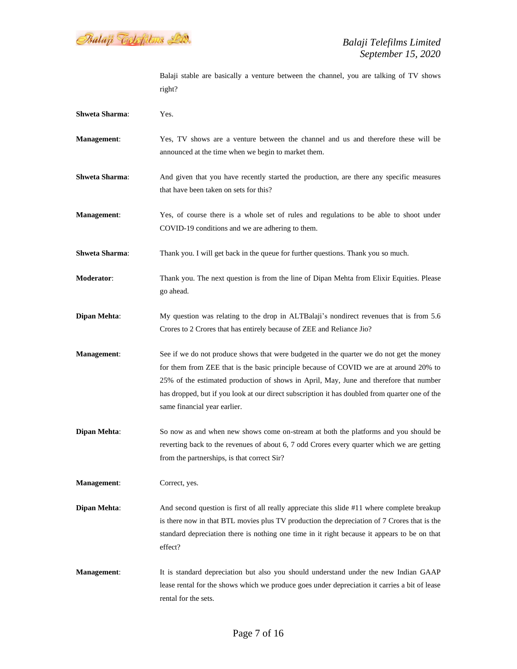Balaji Telefilms Lid.

Balaji stable are basically a venture between the channel, you are talking of TV shows right?

| <b>Shweta Sharma:</b> | Yes.                                                                                                                                                                                                                                                                                                                                                                                                           |
|-----------------------|----------------------------------------------------------------------------------------------------------------------------------------------------------------------------------------------------------------------------------------------------------------------------------------------------------------------------------------------------------------------------------------------------------------|
| <b>Management:</b>    | Yes, TV shows are a venture between the channel and us and therefore these will be<br>announced at the time when we begin to market them.                                                                                                                                                                                                                                                                      |
| <b>Shweta Sharma:</b> | And given that you have recently started the production, are there any specific measures<br>that have been taken on sets for this?                                                                                                                                                                                                                                                                             |
| Management:           | Yes, of course there is a whole set of rules and regulations to be able to shoot under<br>COVID-19 conditions and we are adhering to them.                                                                                                                                                                                                                                                                     |
| <b>Shweta Sharma:</b> | Thank you. I will get back in the queue for further questions. Thank you so much.                                                                                                                                                                                                                                                                                                                              |
| Moderator:            | Thank you. The next question is from the line of Dipan Mehta from Elixir Equities. Please<br>go ahead.                                                                                                                                                                                                                                                                                                         |
| <b>Dipan Mehta:</b>   | My question was relating to the drop in ALTBalaji's nondirect revenues that is from 5.6<br>Crores to 2 Crores that has entirely because of ZEE and Reliance Jio?                                                                                                                                                                                                                                               |
| <b>Management:</b>    | See if we do not produce shows that were budgeted in the quarter we do not get the money<br>for them from ZEE that is the basic principle because of COVID we are at around 20% to<br>25% of the estimated production of shows in April, May, June and therefore that number<br>has dropped, but if you look at our direct subscription it has doubled from quarter one of the<br>same financial year earlier. |
| Dipan Mehta:          | So now as and when new shows come on-stream at both the platforms and you should be<br>reverting back to the revenues of about 6, 7 odd Crores every quarter which we are getting<br>from the partnerships, is that correct Sir?                                                                                                                                                                               |
| <b>Management:</b>    | Correct, yes.                                                                                                                                                                                                                                                                                                                                                                                                  |
| Dipan Mehta:          | And second question is first of all really appreciate this slide #11 where complete breakup<br>is there now in that BTL movies plus TV production the depreciation of 7 Crores that is the<br>standard depreciation there is nothing one time in it right because it appears to be on that<br>effect?                                                                                                          |
| <b>Management:</b>    | It is standard depreciation but also you should understand under the new Indian GAAP<br>lease rental for the shows which we produce goes under depreciation it carries a bit of lease<br>rental for the sets.                                                                                                                                                                                                  |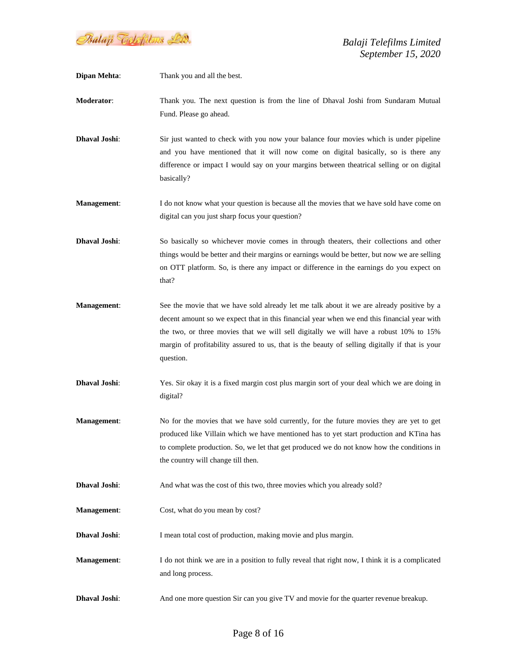

| <b>Dipan Mehta:</b> | Thank you and all the best.                                                                                                                                                                                                                                                                                                                                                                      |
|---------------------|--------------------------------------------------------------------------------------------------------------------------------------------------------------------------------------------------------------------------------------------------------------------------------------------------------------------------------------------------------------------------------------------------|
| Moderator:          | Thank you. The next question is from the line of Dhaval Joshi from Sundaram Mutual<br>Fund. Please go ahead.                                                                                                                                                                                                                                                                                     |
| Dhaval Joshi:       | Sir just wanted to check with you now your balance four movies which is under pipeline<br>and you have mentioned that it will now come on digital basically, so is there any<br>difference or impact I would say on your margins between theatrical selling or on digital<br>basically?                                                                                                          |
| <b>Management:</b>  | I do not know what your question is because all the movies that we have sold have come on<br>digital can you just sharp focus your question?                                                                                                                                                                                                                                                     |
| Dhaval Joshi:       | So basically so whichever movie comes in through theaters, their collections and other<br>things would be better and their margins or earnings would be better, but now we are selling<br>on OTT platform. So, is there any impact or difference in the earnings do you expect on<br>that?                                                                                                       |
| <b>Management:</b>  | See the movie that we have sold already let me talk about it we are already positive by a<br>decent amount so we expect that in this financial year when we end this financial year with<br>the two, or three movies that we will sell digitally we will have a robust 10% to 15%<br>margin of profitability assured to us, that is the beauty of selling digitally if that is your<br>question. |
| Dhaval Joshi:       | Yes. Sir okay it is a fixed margin cost plus margin sort of your deal which we are doing in<br>digital?                                                                                                                                                                                                                                                                                          |
| <b>Management:</b>  | No for the movies that we have sold currently, for the future movies they are yet to get<br>produced like Villain which we have mentioned has to yet start production and KTina has<br>to complete production. So, we let that get produced we do not know how the conditions in<br>the country will change till then.                                                                           |
| Dhaval Joshi:       | And what was the cost of this two, three movies which you already sold?                                                                                                                                                                                                                                                                                                                          |
| Management:         | Cost, what do you mean by cost?                                                                                                                                                                                                                                                                                                                                                                  |
| Dhaval Joshi:       | I mean total cost of production, making movie and plus margin.                                                                                                                                                                                                                                                                                                                                   |
| Management:         | I do not think we are in a position to fully reveal that right now, I think it is a complicated<br>and long process.                                                                                                                                                                                                                                                                             |
| Dhaval Joshi:       | And one more question Sir can you give TV and movie for the quarter revenue breakup.                                                                                                                                                                                                                                                                                                             |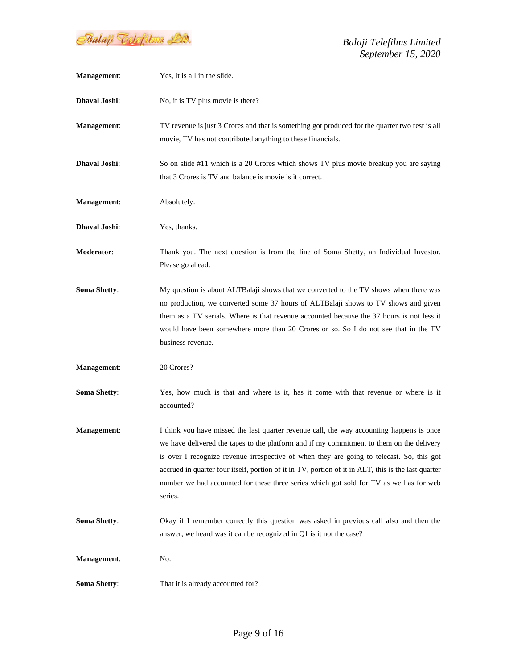

*Balaji Telefilms Limited September 15, 2020*

| Management:         | Yes, it is all in the slide.                                                                                                                                                                                                                                                                                                                                                                                                                                                                    |
|---------------------|-------------------------------------------------------------------------------------------------------------------------------------------------------------------------------------------------------------------------------------------------------------------------------------------------------------------------------------------------------------------------------------------------------------------------------------------------------------------------------------------------|
| Dhaval Joshi:       | No, it is TV plus movie is there?                                                                                                                                                                                                                                                                                                                                                                                                                                                               |
| Management:         | TV revenue is just 3 Crores and that is something got produced for the quarter two rest is all<br>movie, TV has not contributed anything to these financials.                                                                                                                                                                                                                                                                                                                                   |
| Dhaval Joshi:       | So on slide #11 which is a 20 Crores which shows TV plus movie breakup you are saying<br>that 3 Crores is TV and balance is movie is it correct.                                                                                                                                                                                                                                                                                                                                                |
| Management:         | Absolutely.                                                                                                                                                                                                                                                                                                                                                                                                                                                                                     |
| Dhaval Joshi:       | Yes, thanks.                                                                                                                                                                                                                                                                                                                                                                                                                                                                                    |
| Moderator:          | Thank you. The next question is from the line of Soma Shetty, an Individual Investor.<br>Please go ahead.                                                                                                                                                                                                                                                                                                                                                                                       |
| <b>Soma Shetty:</b> | My question is about ALTBalaji shows that we converted to the TV shows when there was<br>no production, we converted some 37 hours of ALTBalaji shows to TV shows and given<br>them as a TV serials. Where is that revenue accounted because the 37 hours is not less it<br>would have been somewhere more than 20 Crores or so. So I do not see that in the TV<br>business revenue.                                                                                                            |
| Management:         | 20 Crores?                                                                                                                                                                                                                                                                                                                                                                                                                                                                                      |
| <b>Soma Shetty:</b> | Yes, how much is that and where is it, has it come with that revenue or where is it<br>accounted?                                                                                                                                                                                                                                                                                                                                                                                               |
| Management:         | I think you have missed the last quarter revenue call, the way accounting happens is once<br>we have delivered the tapes to the platform and if my commitment to them on the delivery<br>is over I recognize revenue irrespective of when they are going to telecast. So, this got<br>accrued in quarter four itself, portion of it in TV, portion of it in ALT, this is the last quarter<br>number we had accounted for these three series which got sold for TV as well as for web<br>series. |
| <b>Soma Shetty:</b> | Okay if I remember correctly this question was asked in previous call also and then the<br>answer, we heard was it can be recognized in Q1 is it not the case?                                                                                                                                                                                                                                                                                                                                  |
| Management:         | No.                                                                                                                                                                                                                                                                                                                                                                                                                                                                                             |
| <b>Soma Shetty:</b> | That it is already accounted for?                                                                                                                                                                                                                                                                                                                                                                                                                                                               |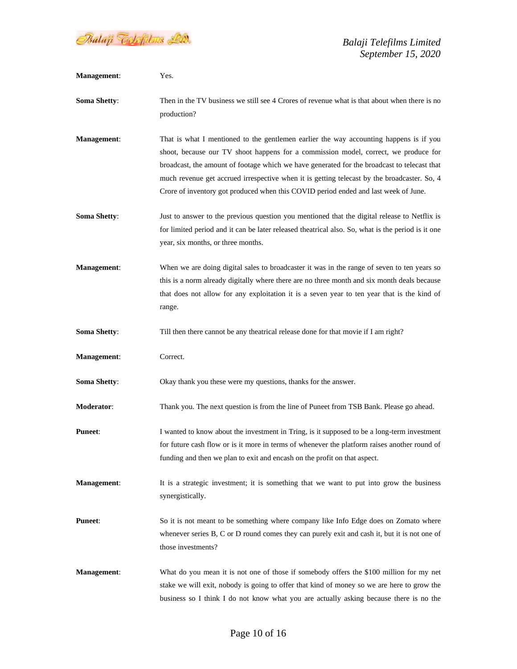Balaji Telefilms Lid.

| Management:         | Yes.                                                                                                                                                                                                                                                                                                                                                                                                                                                               |
|---------------------|--------------------------------------------------------------------------------------------------------------------------------------------------------------------------------------------------------------------------------------------------------------------------------------------------------------------------------------------------------------------------------------------------------------------------------------------------------------------|
| <b>Soma Shetty:</b> | Then in the TV business we still see 4 Crores of revenue what is that about when there is no<br>production?                                                                                                                                                                                                                                                                                                                                                        |
| Management:         | That is what I mentioned to the gentlemen earlier the way accounting happens is if you<br>shoot, because our TV shoot happens for a commission model, correct, we produce for<br>broadcast, the amount of footage which we have generated for the broadcast to telecast that<br>much revenue get accrued irrespective when it is getting telecast by the broadcaster. So, 4<br>Crore of inventory got produced when this COVID period ended and last week of June. |
| <b>Soma Shetty:</b> | Just to answer to the previous question you mentioned that the digital release to Netflix is<br>for limited period and it can be later released theatrical also. So, what is the period is it one<br>year, six months, or three months.                                                                                                                                                                                                                            |
| <b>Management:</b>  | When we are doing digital sales to broadcaster it was in the range of seven to ten years so<br>this is a norm already digitally where there are no three month and six month deals because<br>that does not allow for any exploitation it is a seven year to ten year that is the kind of<br>range.                                                                                                                                                                |
| <b>Soma Shetty:</b> | Till then there cannot be any theatrical release done for that movie if I am right?                                                                                                                                                                                                                                                                                                                                                                                |
| <b>Management:</b>  | Correct.                                                                                                                                                                                                                                                                                                                                                                                                                                                           |
| <b>Soma Shetty:</b> | Okay thank you these were my questions, thanks for the answer.                                                                                                                                                                                                                                                                                                                                                                                                     |
| Moderator:          | Thank you. The next question is from the line of Puneet from TSB Bank. Please go ahead.                                                                                                                                                                                                                                                                                                                                                                            |
| <b>Puneet:</b>      | I wanted to know about the investment in Tring, is it supposed to be a long-term investment<br>for future cash flow or is it more in terms of whenever the platform raises another round of<br>funding and then we plan to exit and encash on the profit on that aspect.                                                                                                                                                                                           |
| <b>Management:</b>  | It is a strategic investment; it is something that we want to put into grow the business<br>synergistically.                                                                                                                                                                                                                                                                                                                                                       |
| <b>Puneet:</b>      | So it is not meant to be something where company like Info Edge does on Zomato where<br>whenever series B, C or D round comes they can purely exit and cash it, but it is not one of<br>those investments?                                                                                                                                                                                                                                                         |
| <b>Management:</b>  | What do you mean it is not one of those if somebody offers the \$100 million for my net<br>stake we will exit, nobody is going to offer that kind of money so we are here to grow the<br>business so I think I do not know what you are actually asking because there is no the                                                                                                                                                                                    |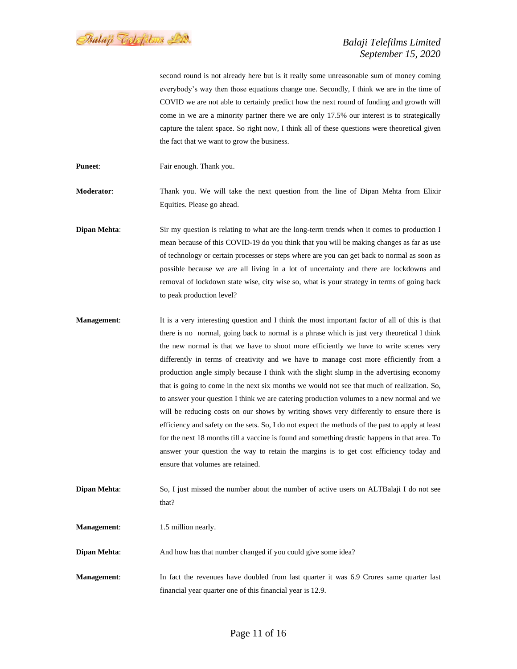Psalaji Toclofilms Lid.

second round is not already here but is it really some unreasonable sum of money coming everybody's way then those equations change one. Secondly, I think we are in the time of COVID we are not able to certainly predict how the next round of funding and growth will come in we are a minority partner there we are only 17.5% our interest is to strategically capture the talent space. So right now, I think all of these questions were theoretical given the fact that we want to grow the business.

**Puneet:** Fair enough. Thank you.

**Moderator**: Thank you. We will take the next question from the line of Dipan Mehta from Elixir Equities. Please go ahead.

**Dipan Mehta**: Sir my question is relating to what are the long-term trends when it comes to production I mean because of this COVID-19 do you think that you will be making changes as far as use of technology or certain processes or steps where are you can get back to normal as soon as possible because we are all living in a lot of uncertainty and there are lockdowns and removal of lockdown state wise, city wise so, what is your strategy in terms of going back to peak production level?

**Management:** It is a very interesting question and I think the most important factor of all of this is that there is no normal, going back to normal is a phrase which is just very theoretical I think the new normal is that we have to shoot more efficiently we have to write scenes very differently in terms of creativity and we have to manage cost more efficiently from a production angle simply because I think with the slight slump in the advertising economy that is going to come in the next six months we would not see that much of realization. So, to answer your question I think we are catering production volumes to a new normal and we will be reducing costs on our shows by writing shows very differently to ensure there is efficiency and safety on the sets. So, I do not expect the methods of the past to apply at least for the next 18 months till a vaccine is found and something drastic happens in that area. To answer your question the way to retain the margins is to get cost efficiency today and ensure that volumes are retained.

**Dipan Mehta:** So, I just missed the number about the number of active users on ALTBalaji I do not see that?

**Management:** 1.5 million nearly.

**Dipan Mehta:** And how has that number changed if you could give some idea?

**Management:** In fact the revenues have doubled from last quarter it was 6.9 Crores same quarter last financial year quarter one of this financial year is 12.9.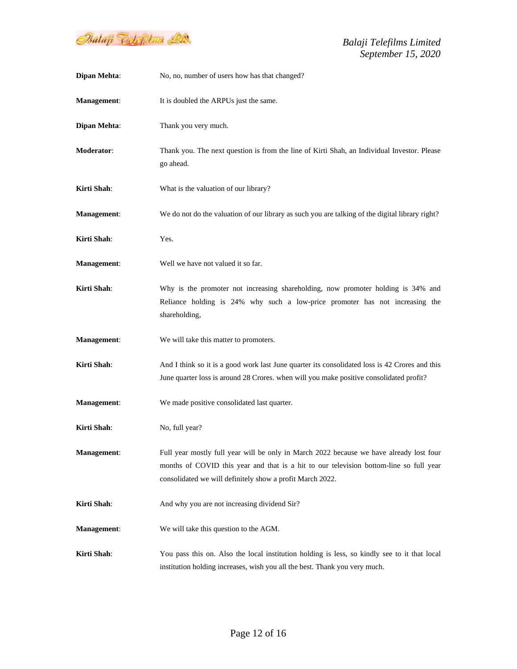

*Balaji Telefilms Limited September 15, 2020*

| <b>Dipan Mehta:</b> | No, no, number of users how has that changed?                                                                                                                                                                                                  |
|---------------------|------------------------------------------------------------------------------------------------------------------------------------------------------------------------------------------------------------------------------------------------|
| Management:         | It is doubled the ARPUs just the same.                                                                                                                                                                                                         |
| Dipan Mehta:        | Thank you very much.                                                                                                                                                                                                                           |
| Moderator:          | Thank you. The next question is from the line of Kirti Shah, an Individual Investor. Please<br>go ahead.                                                                                                                                       |
| Kirti Shah:         | What is the valuation of our library?                                                                                                                                                                                                          |
| <b>Management:</b>  | We do not do the valuation of our library as such you are talking of the digital library right?                                                                                                                                                |
| Kirti Shah:         | Yes.                                                                                                                                                                                                                                           |
| Management:         | Well we have not valued it so far.                                                                                                                                                                                                             |
| Kirti Shah:         | Why is the promoter not increasing shareholding, now promoter holding is 34% and<br>Reliance holding is 24% why such a low-price promoter has not increasing the<br>shareholding,                                                              |
| <b>Management:</b>  | We will take this matter to promoters.                                                                                                                                                                                                         |
| Kirti Shah:         | And I think so it is a good work last June quarter its consolidated loss is 42 Crores and this<br>June quarter loss is around 28 Crores. when will you make positive consolidated profit?                                                      |
| Management:         | We made positive consolidated last quarter.                                                                                                                                                                                                    |
| Kirti Shah:         | No, full year?                                                                                                                                                                                                                                 |
| Management:         | Full year mostly full year will be only in March 2022 because we have already lost four<br>months of COVID this year and that is a hit to our television bottom-line so full year<br>consolidated we will definitely show a profit March 2022. |
| Kirti Shah:         | And why you are not increasing dividend Sir?                                                                                                                                                                                                   |
| <b>Management:</b>  | We will take this question to the AGM.                                                                                                                                                                                                         |
| Kirti Shah:         | You pass this on. Also the local institution holding is less, so kindly see to it that local<br>institution holding increases, wish you all the best. Thank you very much.                                                                     |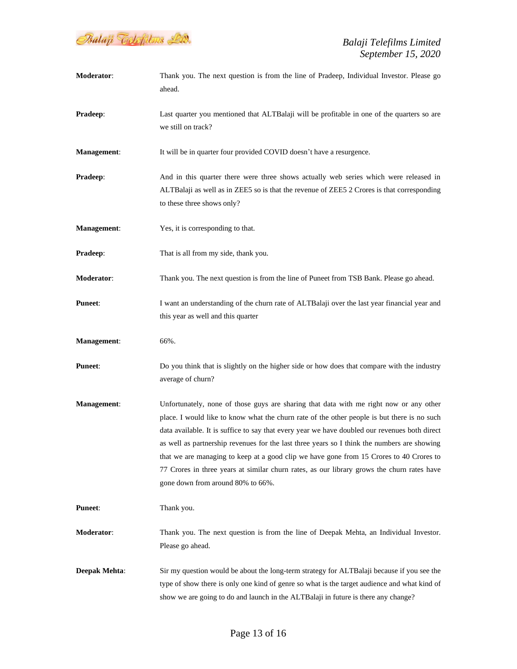

| Moderator:           | Thank you. The next question is from the line of Pradeep, Individual Investor. Please go<br>ahead.                                                                                                                                                                                                                                                                                                                                                                                                                                                                                                                  |
|----------------------|---------------------------------------------------------------------------------------------------------------------------------------------------------------------------------------------------------------------------------------------------------------------------------------------------------------------------------------------------------------------------------------------------------------------------------------------------------------------------------------------------------------------------------------------------------------------------------------------------------------------|
| Pradeep:             | Last quarter you mentioned that ALTBalaji will be profitable in one of the quarters so are<br>we still on track?                                                                                                                                                                                                                                                                                                                                                                                                                                                                                                    |
| Management:          | It will be in quarter four provided COVID doesn't have a resurgence.                                                                                                                                                                                                                                                                                                                                                                                                                                                                                                                                                |
| Pradeep:             | And in this quarter there were three shows actually web series which were released in<br>ALTBalaji as well as in ZEE5 so is that the revenue of ZEE5 2 Crores is that corresponding<br>to these three shows only?                                                                                                                                                                                                                                                                                                                                                                                                   |
| <b>Management:</b>   | Yes, it is corresponding to that.                                                                                                                                                                                                                                                                                                                                                                                                                                                                                                                                                                                   |
| Pradeep:             | That is all from my side, thank you.                                                                                                                                                                                                                                                                                                                                                                                                                                                                                                                                                                                |
| Moderator:           | Thank you. The next question is from the line of Puneet from TSB Bank. Please go ahead.                                                                                                                                                                                                                                                                                                                                                                                                                                                                                                                             |
| <b>Puneet:</b>       | I want an understanding of the churn rate of ALTBalaji over the last year financial year and<br>this year as well and this quarter                                                                                                                                                                                                                                                                                                                                                                                                                                                                                  |
| Management:          | 66%.                                                                                                                                                                                                                                                                                                                                                                                                                                                                                                                                                                                                                |
| <b>Puneet:</b>       | Do you think that is slightly on the higher side or how does that compare with the industry<br>average of churn?                                                                                                                                                                                                                                                                                                                                                                                                                                                                                                    |
| Management:          | Unfortunately, none of those guys are sharing that data with me right now or any other<br>place. I would like to know what the churn rate of the other people is but there is no such<br>data available. It is suffice to say that every year we have doubled our revenues both direct<br>as well as partnership revenues for the last three years so I think the numbers are showing<br>that we are managing to keep at a good clip we have gone from 15 Crores to 40 Crores to<br>77 Crores in three years at similar churn rates, as our library grows the churn rates have<br>gone down from around 80% to 66%. |
| <b>Puneet:</b>       | Thank you.                                                                                                                                                                                                                                                                                                                                                                                                                                                                                                                                                                                                          |
| <b>Moderator:</b>    | Thank you. The next question is from the line of Deepak Mehta, an Individual Investor.<br>Please go ahead.                                                                                                                                                                                                                                                                                                                                                                                                                                                                                                          |
| <b>Deepak Mehta:</b> | Sir my question would be about the long-term strategy for ALTBalaji because if you see the<br>type of show there is only one kind of genre so what is the target audience and what kind of<br>show we are going to do and launch in the ALTBalaji in future is there any change?                                                                                                                                                                                                                                                                                                                                    |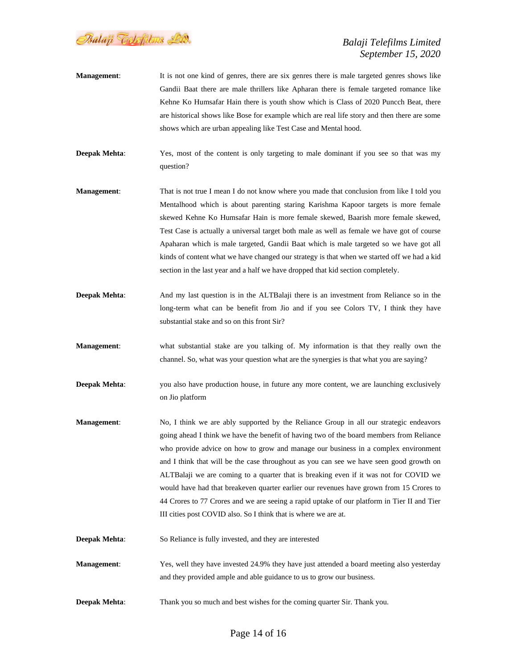Psalaji Toclofilms Lid.

- **Management:** It is not one kind of genres, there are six genres there is male targeted genres shows like Gandii Baat there are male thrillers like Apharan there is female targeted romance like Kehne Ko Humsafar Hain there is youth show which is Class of 2020 Puncch Beat, there are historical shows like Bose for example which are real life story and then there are some shows which are urban appealing like Test Case and Mental hood.
- **Deepak Mehta**: Yes, most of the content is only targeting to male dominant if you see so that was my question?
- **Management**: That is not true I mean I do not know where you made that conclusion from like I told you Mentalhood which is about parenting staring Karishma Kapoor targets is more female skewed Kehne Ko Humsafar Hain is more female skewed, Baarish more female skewed, Test Case is actually a universal target both male as well as female we have got of course Apaharan which is male targeted, Gandii Baat which is male targeted so we have got all kinds of content what we have changed our strategy is that when we started off we had a kid section in the last year and a half we have dropped that kid section completely.
- **Deepak Mehta:** And my last question is in the ALTBalaji there is an investment from Reliance so in the long-term what can be benefit from Jio and if you see Colors TV, I think they have substantial stake and so on this front Sir?
- **Management**: what substantial stake are you talking of. My information is that they really own the channel. So, what was your question what are the synergies is that what you are saying?
- **Deepak Mehta:** you also have production house, in future any more content, we are launching exclusively on Jio platform
- **Management**: No, I think we are ably supported by the Reliance Group in all our strategic endeavors going ahead I think we have the benefit of having two of the board members from Reliance who provide advice on how to grow and manage our business in a complex environment and I think that will be the case throughout as you can see we have seen good growth on ALTBalaji we are coming to a quarter that is breaking even if it was not for COVID we would have had that breakeven quarter earlier our revenues have grown from 15 Crores to 44 Crores to 77 Crores and we are seeing a rapid uptake of our platform in Tier II and Tier III cities post COVID also. So I think that is where we are at.
- **Deepak Mehta:** So Reliance is fully invested, and they are interested
- **Management**: Yes, well they have invested 24.9% they have just attended a board meeting also yesterday and they provided ample and able guidance to us to grow our business.
- **Deepak Mehta:** Thank you so much and best wishes for the coming quarter Sir. Thank you.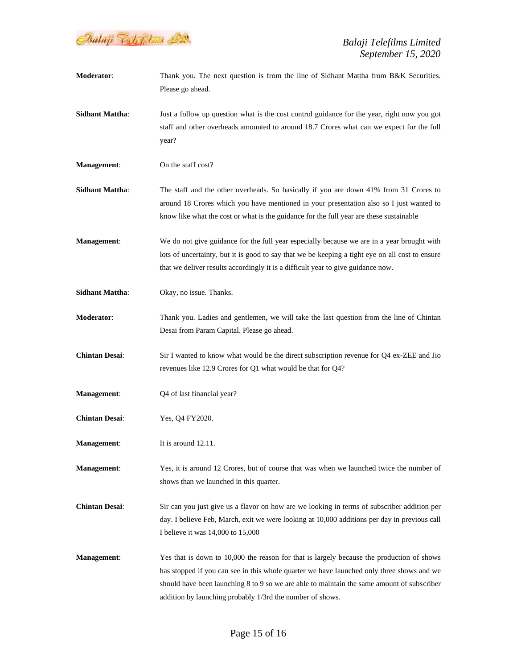

**Moderator:** Thank you. The next question is from the line of Sidhant Mattha from B&K Securities. Please go ahead. **Sidhant Mattha:** Just a follow up question what is the cost control guidance for the year, right now you got staff and other overheads amounted to around 18.7 Crores what can we expect for the full year? **Management:** On the staff cost? **Sidhant Mattha**: The staff and the other overheads. So basically if you are down 41% from 31 Crores to around 18 Crores which you have mentioned in your presentation also so I just wanted to know like what the cost or what is the guidance for the full year are these sustainable **Management**: We do not give guidance for the full year especially because we are in a year brought with lots of uncertainty, but it is good to say that we be keeping a tight eye on all cost to ensure that we deliver results accordingly it is a difficult year to give guidance now. **Sidhant Mattha**: Okay, no issue. Thanks. **Moderator**: Thank you. Ladies and gentlemen, we will take the last question from the line of Chintan Desai from Param Capital. Please go ahead. **Chintan Desai**: Sir I wanted to know what would be the direct subscription revenue for Q4 ex-ZEE and Jio revenues like 12.9 Crores for Q1 what would be that for Q4? **Management:** Q4 of last financial year? **Chintan Desai**: Yes, Q4 FY2020. **Management:** It is around 12.11. **Management**: Yes, it is around 12 Crores, but of course that was when we launched twice the number of shows than we launched in this quarter. **Chintan Desai**: Sir can you just give us a flavor on how are we looking in terms of subscriber addition per day. I believe Feb, March, exit we were looking at 10,000 additions per day in previous call I believe it was 14,000 to 15,000 **Management:** Yes that is down to 10,000 the reason for that is largely because the production of shows has stopped if you can see in this whole quarter we have launched only three shows and we should have been launching 8 to 9 so we are able to maintain the same amount of subscriber addition by launching probably 1/3rd the number of shows.